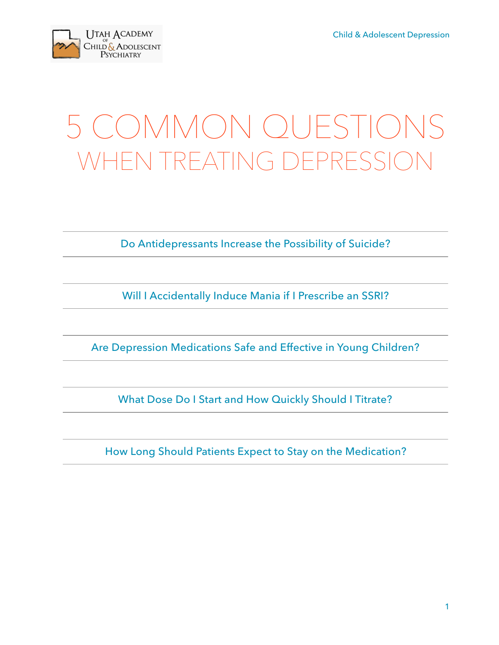

### 5 COMMON QUESTIONS WHEN TREATING DEPRESSIO

Do Antidepressants Increase the Possibility of Suicide?

Will I Accidentally Induce Mania if I Prescribe an SSRI?

Are Depression Medications Safe and Effective in Young Children?

What Dose Do I Start and How Quickly Should I Titrate?

How Long Should Patients Expect to Stay on the Medication?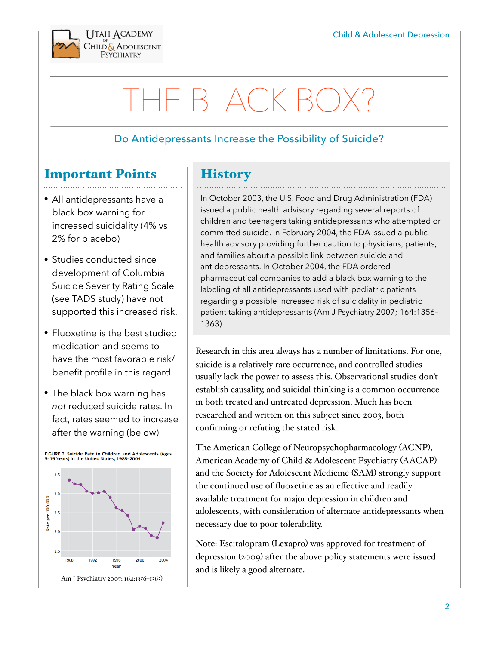

### THE BLACK BO

#### Do Antidepressants Increase the Possibility of Suicide?

### Important Points

- All antidepressants have a black box warning for increased suicidality (4% vs 2% for placebo)
- Studies conducted since development of Columbia Suicide Severity Rating Scale (see TADS study) have not supported this increased risk.
- Fluoxetine is the best studied medication and seems to have the most favorable risk/ benefit profile in this regard
- The black box warning has *not* reduced suicide rates. In fact, rates seemed to increase after the warning (below)



Am J Psychiatry 2007; 164:1356–1363)

#### **History**

In October 2003, the U.S. Food and Drug Administration (FDA) issued a public health advisory regarding several reports of children and teenagers taking antidepressants who attempted or committed suicide. In February 2004, the FDA issued a public health advisory providing further caution to physicians, patients, and families about a possible link between suicide and antidepressants. In October 2004, the FDA ordered pharmaceutical companies to add a black box warning to the labeling of all antidepressants used with pediatric patients regarding a possible increased risk of suicidality in pediatric patient taking antidepressants (Am J Psychiatry 2007; 164:1356– 1363)

Research in this area always has a number of limitations. For one, suicide is a relatively rare occurrence, and controlled studies usually lack the power to assess this. Observational studies don't establish causality, and suicidal thinking is a common occurrence in both treated and untreated depression. Much has been researched and written on this subject since 2003, both confirming or refuting the stated risk.

The American College of Neuropsychopharmacology (ACNP), American Academy of Child & Adolescent Psychiatry (AACAP) and the Society for Adolescent Medicine (SAM) strongly support the continued use of fluoxetine as an effective and readily available treatment for major depression in children and adolescents, with consideration of alternate antidepressants when necessary due to poor tolerability.

Note: Escitalopram (Lexapro) was approved for treatment of depression (2009) after the above policy statements were issued and is likely a good alternate.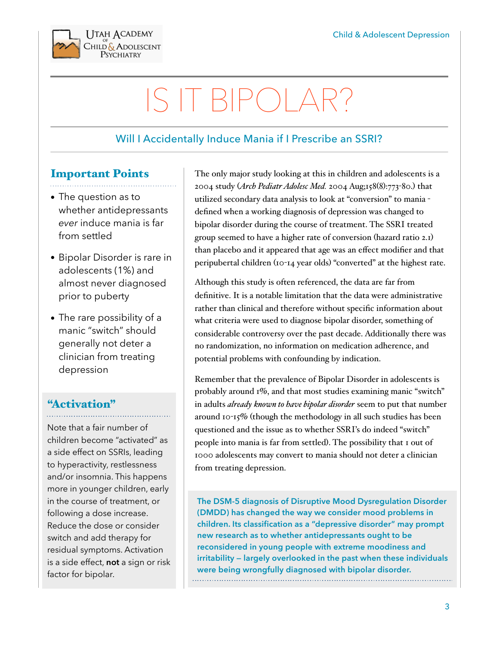

## IS IT BIPOLAR?

### Will I Accidentally Induce Mania if I Prescribe an SSRI?

#### Important Points

- The question as to whether antidepressants *ever* induce mania is far from settled
- Bipolar Disorder is rare in adolescents (1%) and almost never diagnosed prior to puberty
- The rare possibility of a manic "switch" should generally not deter a clinician from treating depression

#### "Activation"

Note that a fair number of children become "activated" as a side effect on SSRIs, leading to hyperactivity, restlessness and/or insomnia. This happens more in younger children, early in the course of treatment, or following a dose increase. Reduce the dose or consider switch and add therapy for residual symptoms. Activation is a side effect, **not** a sign or risk factor for bipolar.

The only major study looking at this in children and adolescents is a 2004 study (*Arch Pediatr Adolesc Med.* 2004 Aug;158(8):773-80.) that utilized secondary data analysis to look at "conversion" to mania defined when a working diagnosis of depression was changed to bipolar disorder during the course of treatment. The SSRI treated group seemed to have a higher rate of conversion (hazard ratio 2.1) than placebo and it appeared that age was an effect modifier and that peripubertal children (10-14 year olds) "converted" at the highest rate.

Although this study is often referenced, the data are far from definitive. It is a notable limitation that the data were administrative rather than clinical and therefore without specific information about what criteria were used to diagnose bipolar disorder, something of considerable controversy over the past decade. Additionally there was no randomization, no information on medication adherence, and potential problems with confounding by indication.

Remember that the prevalence of Bipolar Disorder in adolescents is probably around 1%, and that most studies examining manic "switch" in adults *already known to have bipolar disorder* seem to put that number around 10-15% (though the methodology in all such studies has been questioned and the issue as to whether SSRI's do indeed "switch" people into mania is far from settled). The possibility that 1 out of 1000 adolescents may convert to mania should not deter a clinician from treating depression.

**The DSM-5 diagnosis of Disruptive Mood Dysregulation Disorder (DMDD) has changed the way we consider mood problems in children. Its classification as a "depressive disorder" may prompt new research as to whether antidepressants ought to be reconsidered in young people with extreme moodiness and irritability — largely overlooked in the past when these individuals were being wrongfully diagnosed with bipolar disorder.**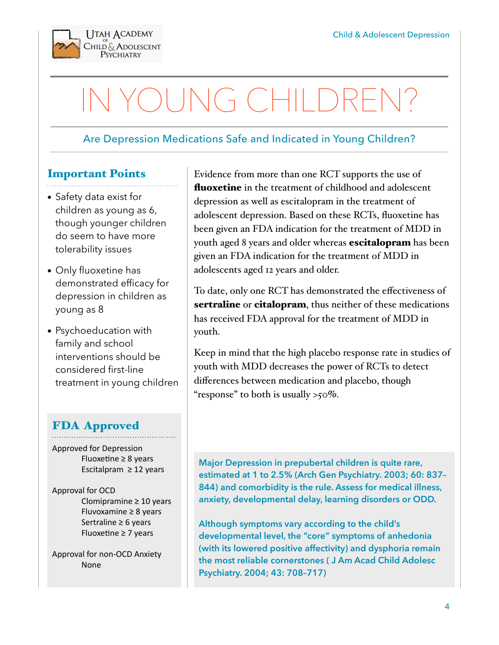

## OUNG CHILDRE

#### Are Depression Medications Safe and Indicated in Young Children?

#### Important Points

- Safety data exist for children as young as 6, though younger children do seem to have more tolerability issues
- Only fluoxetine has demonstrated efficacy for depression in children as young as 8
- Psychoeducation with family and school interventions should be considered first-line treatment in young children

#### FDA Approved

Approved for Depression Fluoxetine  $\geq 8$  years Escitalpram  $\geq$  12 years

Approval for OCD Clomipramine  $\geq 10$  years Fluvoxamine  $\geq 8$  years Sertraline  $\geq 6$  years Fluoxetine  $\geq 7$  years

Approval for non-OCD Anxiety None 

Evidence from more than one RCT supports the use of **fluoxetine** in the treatment of childhood and adolescent depression as well as escitalopram in the treatment of adolescent depression. Based on these RCTs, fluoxetine has been given an FDA indication for the treatment of MDD in youth aged 8 years and older whereas **escitalopram** has been given an FDA indication for the treatment of MDD in adolescents aged 12 years and older.

To date, only one RCT has demonstrated the effectiveness of sertraline or citalopram, thus neither of these medications has received FDA approval for the treatment of MDD in youth.

Keep in mind that the high placebo response rate in studies of youth with MDD decreases the power of RCTs to detect differences between medication and placebo, though "response" to both is usually  $>50\%$ .

**Major Depression in prepubertal children is quite rare, estimated at 1 to 2.5% (Arch Gen Psychiatry. 2003; 60: 837– 844) and comorbidity is the rule. Assess for medical illness, anxiety, developmental delay, learning disorders or ODD.** 

**Although symptoms vary according to the child's developmental level, the "core" symptoms of anhedonia (with its lowered positive affectivity) and dysphoria remain the most reliable cornerstones ( J Am Acad Child Adolesc Psychiatry. 2004; 43: 708–717)**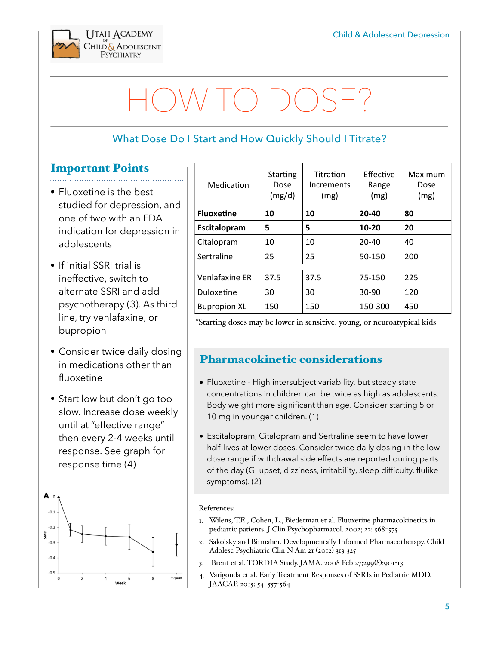

# HOW TO DOSE?

### What Dose Do I Start and How Quickly Should I Titrate?

#### Important Points

- Fluoxetine is the best studied for depression, and one of two with an FDA indication for depression in adolescents
- If initial SSRI trial is ineffective, switch to alternate SSRI and add psychotherapy (3). As third line, try venlafaxine, or bupropion
- Consider twice daily dosing in medications other than fluoxetine
- Start low but don't go too slow. Increase dose weekly until at "effective range" then every 2-4 weeks until response. See graph for response time (4)



| Medication          | Starting<br>Dose<br>(mg/d) | Titration<br>Increments<br>(mg) | Effective<br>Range<br>(mg) | Maximum<br>Dose<br>(mg) |
|---------------------|----------------------------|---------------------------------|----------------------------|-------------------------|
| <b>Fluoxetine</b>   | 10                         | 10                              | $20 - 40$                  | 80                      |
| Escitalopram        | 5                          | 5                               | $10 - 20$                  | 20                      |
| Citalopram          | 10                         | 10                              | $20 - 40$                  | 40                      |
| Sertraline          | 25                         | 25                              | 50-150                     | 200                     |
|                     |                            |                                 |                            |                         |
| Venlafaxine ER      | 37.5                       | 37.5                            | 75-150                     | 225                     |
| Duloxetine          | 30                         | 30                              | $30-90$                    | 120                     |
| <b>Bupropion XL</b> | 150                        | 150                             | 150-300                    | 450                     |

\*Starting doses may be lower in sensitive, young, or neuroatypical kids

#### Pharmacokinetic considerations

- Fluoxetine High intersubject variability, but steady state concentrations in children can be twice as high as adolescents. Body weight more significant than age. Consider starting 5 or 10 mg in younger children. (1)
- Escitalopram, Citalopram and Sertraline seem to have lower half-lives at lower doses. Consider twice daily dosing in the lowdose range if withdrawal side effects are reported during parts of the day (GI upset, dizziness, irritability, sleep difficulty, flulike symptoms). (2)

#### References:

- 1. Wilens, T.E., Cohen, L., Biederman et al. Fluoxetine pharmacokinetics in pediatric patients. J Clin Psychopharmacol. 2002; 22: 568–575
- 2. Sakolsky and Birmaher. Developmentally Informed Pharmacotherapy. Child Adolesc Psychiatric Clin N Am 21 (2012) 313-325
- 3. Brent et al. TORDIA Study. JAMA. 2008 Feb 27;299(8):901-13.
- 4. Varigonda et al. Early Treatment Responses of SSRIs in Pediatric MDD. JAACAP. 2015; 54: 557-564